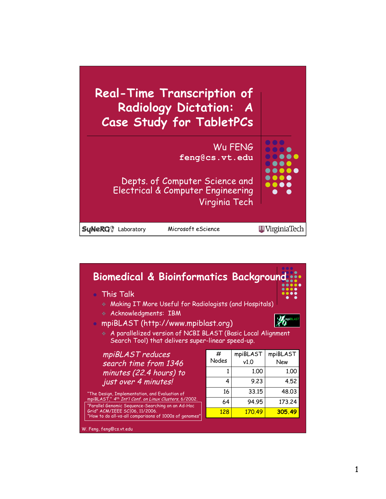

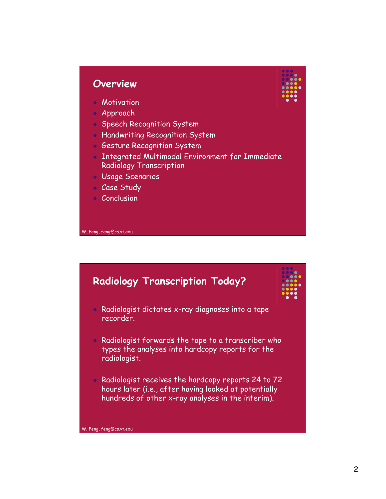## **Overview**

- **Motivation**
- Approach
- **Speech Recognition System**
- **Handwriting Recognition System**
- **Gesture Recognition System**
- Integrated Multimodal Environment for Immediate Radiology Transcription
- Usage Scenarios
- Case Study
- **Conclusion**



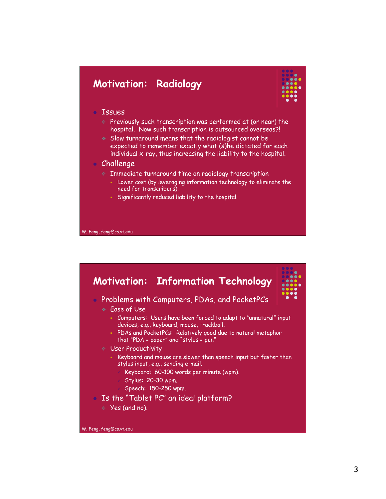## **Motivation: Radiology**



### Issues

- Previously such transcription was performed at (or near) the hospital. Now such transcription is outsourced overseas?!
- Slow turnaround means that the radiologist cannot be expected to remember exactly what (s)he dictated for each individual x-ray, thus increasing the liability to the hospital.

## Challenge

- Immediate turnaround time on radiology transcription
	- Lower cost (by leveraging information technology to eliminate the need for transcribers).
	- Significantly reduced liability to the hospital.

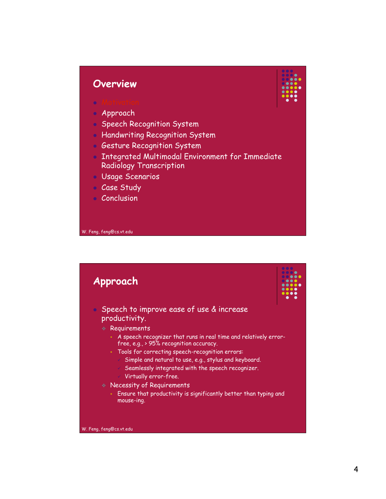## **Overview**



- **Motivation** Approach
- **Speech Recognition System**
- **Handwriting Recognition System**
- **Gesture Recognition System**
- Integrated Multimodal Environment for Immediate Radiology Transcription
- Usage Scenarios
- Case Study
- **Conclusion**

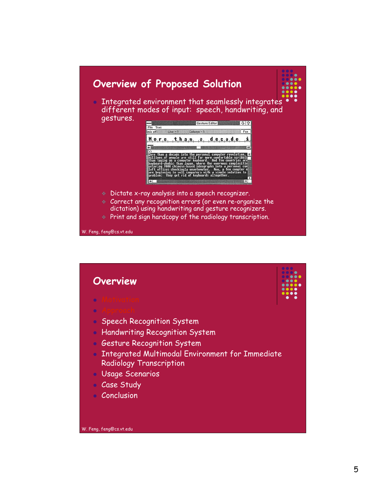

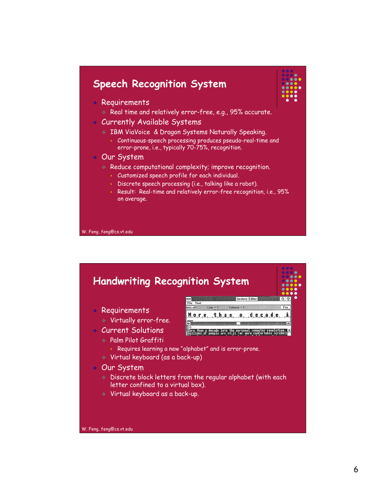# **Speech Recognition System**



- Requirements
	- Real time and relatively error-free, e.g., 95% accurate.
- Currently Available Systems
	- IBM ViaVoice & Dragon Systems Naturally Speaking.
		- Continuous-speech processing produces pseudo-real-time and error-prone, i.e., typically 70-75%, recognition.
- Our System
	- Reduce computational complexity; improve recognition.
		- Customized speech profile for each individual.
		- Discrete speech processing (i.e., talking like a robot).
		- Result: Real-time and relatively error-free recognition, i.e., 95% on average.

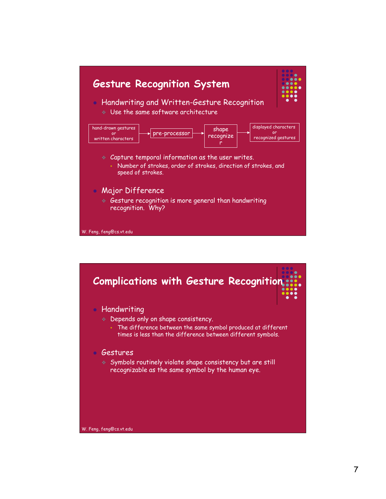

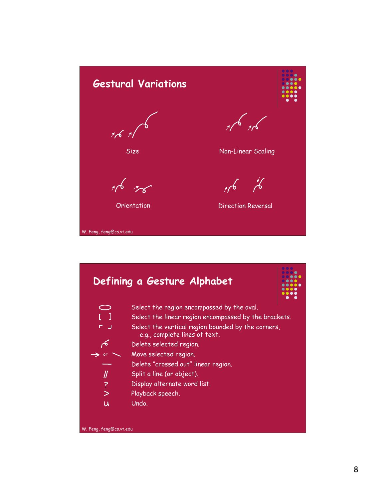

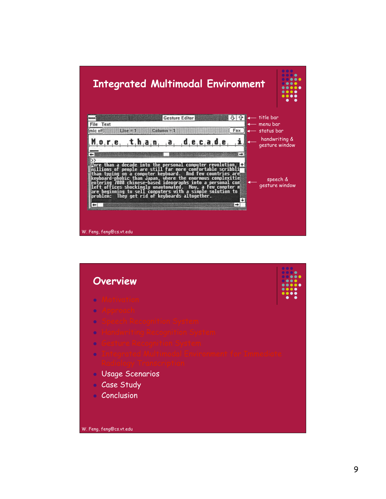

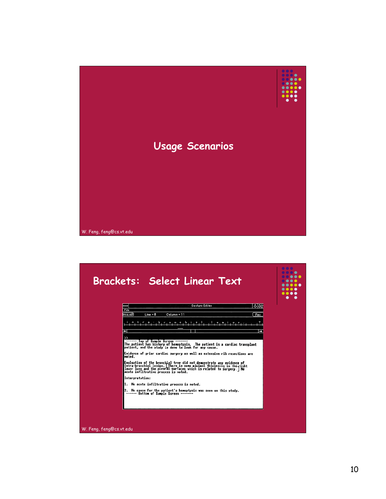

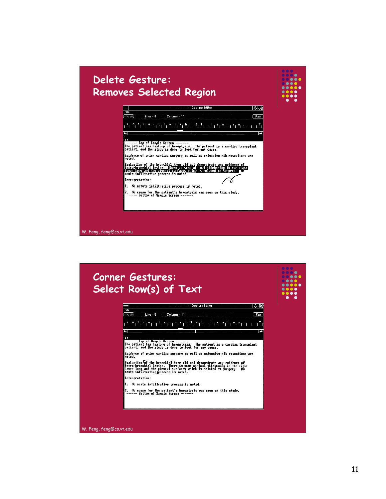

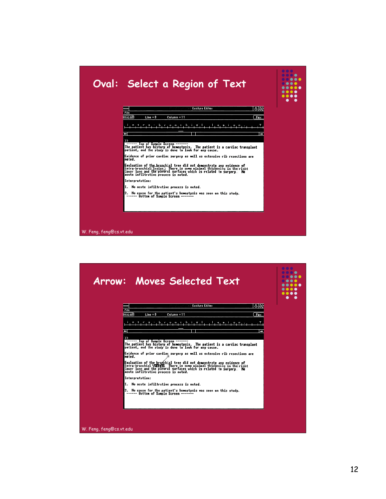|                                                                                                                                                                                                                                         | <b>I TELE</b><br>ОС |
|-----------------------------------------------------------------------------------------------------------------------------------------------------------------------------------------------------------------------------------------|---------------------|
| <b>Gesture Editor</b><br>分配                                                                                                                                                                                                             |                     |
| File<br>mic off<br>Fax<br>$Line = 8$<br>Column = 11                                                                                                                                                                                     |                     |
|                                                                                                                                                                                                                                         |                     |
| ٠<br>J                                                                                                                                                                                                                                  |                     |
| >>                                                                                                                                                                                                                                      |                     |
| ------ Top of Sample Screen -------<br>The patient has history of hemoptysis. The patient is a cardiac transplant<br>patient, and the study is done to look for any cause.                                                              |                     |
| Evidence of prior cardiac surgery as well as extensive rib resections are<br>nated.                                                                                                                                                     |                     |
| Evaluation of the bronchial tree did not demonstrate any evidence of<br>intra-bronchial(lesion.) There is some minimal thickening in the right<br>lower lung and the pieural surfaces which is related to surgery. No<br>acute infiltra |                     |
| Interpretation:                                                                                                                                                                                                                         |                     |
| 1. No acute infiltrative process is noted.                                                                                                                                                                                              |                     |
| 2. No cause for the patient's hemoptysis was seen on this study.<br>------ Bottom of Sample Screen -------                                                                                                                              |                     |
|                                                                                                                                                                                                                                         |                     |
|                                                                                                                                                                                                                                         |                     |

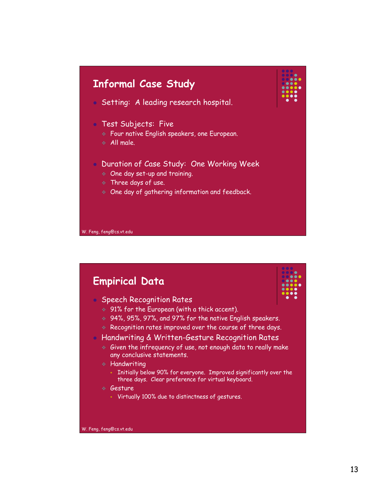

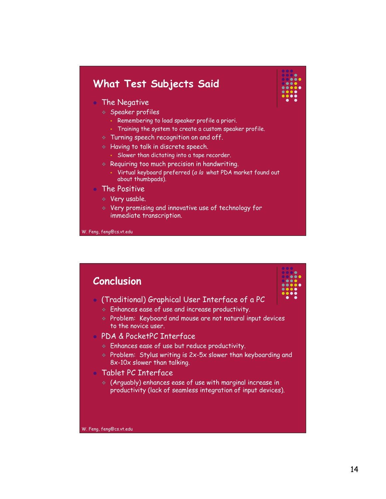# **What Test Subjects Said**

#### • The Negative

- Speaker profiles
	- Remembering to load speaker profile a priori.
	- Training the system to create a custom speaker profile.
- Turning speech recognition on and off.
- **A Having to talk in discrete speech.**
- Slower than dictating into a tape recorder.
- $\triangleq$  Requiring too much precision in handwriting.
	- Virtual keyboard preferred (<sup>a</sup> la what PDA market found out about thumbpads).

#### The Positive

- Very usable.
- Very promising and innovative use of technology for immediate transcription.